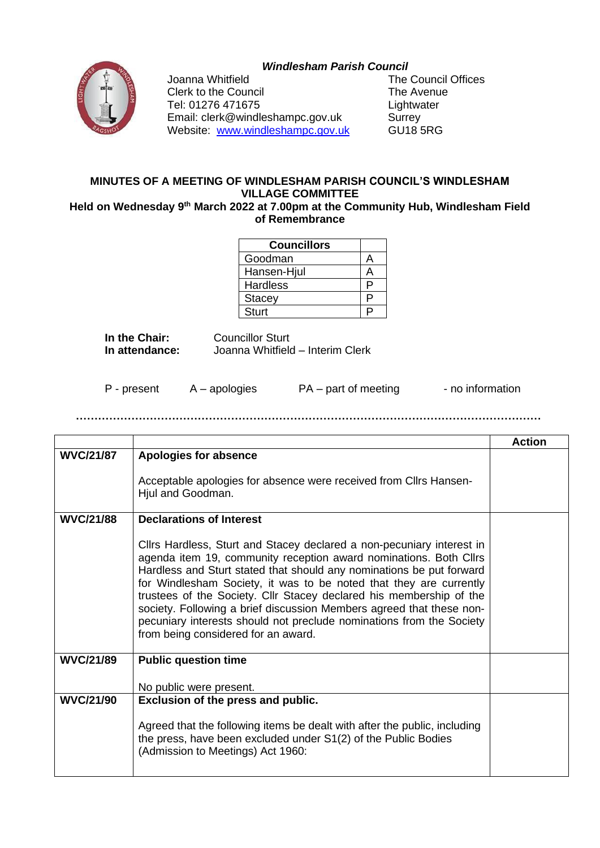## *Windlesham Parish Council*



Clerk to the Council **The Avenue** Tel: 01276 471675 Lightwater Email: clerk@windleshampc.gov.uk Surrey Website: [www.windleshampc.gov.uk](http://www.windleshampc.gov.uk/) GU18 5RG

Joanna Whitfield **The Council Offices** 

## **MINUTES OF A MEETING OF WINDLESHAM PARISH COUNCIL'S WINDLESHAM VILLAGE COMMITTEE**

Held on Wednesday 9<sup>th</sup> March 2022 at 7.00pm at the Community Hub, Windlesham Field **of Remembrance**

| <b>Councillors</b> |    |
|--------------------|----|
| Goodman            |    |
| Hansen-Hjul        |    |
| <b>Hardless</b>    | D  |
| <b>Stacey</b>      | E. |
| <b>Sturt</b>       |    |

**In the Chair:** Councillor Sturt<br> **In attendance:** Joanna Whitfield **In attendance:** Joanna Whitfield – Interim Clerk

P - present A – apologies PA – part of meeting - no information

**………………………………………………………………………………………………………………**

|                  |                                                                                                                                                                                                                                                                                                                                                                                                                                                                                                                                                        | <b>Action</b> |
|------------------|--------------------------------------------------------------------------------------------------------------------------------------------------------------------------------------------------------------------------------------------------------------------------------------------------------------------------------------------------------------------------------------------------------------------------------------------------------------------------------------------------------------------------------------------------------|---------------|
| <b>WVC/21/87</b> | Apologies for absence                                                                                                                                                                                                                                                                                                                                                                                                                                                                                                                                  |               |
|                  | Acceptable apologies for absence were received from Cllrs Hansen-<br>Hjul and Goodman.                                                                                                                                                                                                                                                                                                                                                                                                                                                                 |               |
| <b>WVC/21/88</b> | <b>Declarations of Interest</b>                                                                                                                                                                                                                                                                                                                                                                                                                                                                                                                        |               |
|                  | Clirs Hardless, Sturt and Stacey declared a non-pecuniary interest in<br>agenda item 19, community reception award nominations. Both Cllrs<br>Hardless and Sturt stated that should any nominations be put forward<br>for Windlesham Society, it was to be noted that they are currently<br>trustees of the Society. Cllr Stacey declared his membership of the<br>society. Following a brief discussion Members agreed that these non-<br>pecuniary interests should not preclude nominations from the Society<br>from being considered for an award. |               |
| <b>WVC/21/89</b> | <b>Public question time</b>                                                                                                                                                                                                                                                                                                                                                                                                                                                                                                                            |               |
|                  | No public were present.                                                                                                                                                                                                                                                                                                                                                                                                                                                                                                                                |               |
| <b>WVC/21/90</b> | Exclusion of the press and public.                                                                                                                                                                                                                                                                                                                                                                                                                                                                                                                     |               |
|                  | Agreed that the following items be dealt with after the public, including<br>the press, have been excluded under S1(2) of the Public Bodies<br>(Admission to Meetings) Act 1960:                                                                                                                                                                                                                                                                                                                                                                       |               |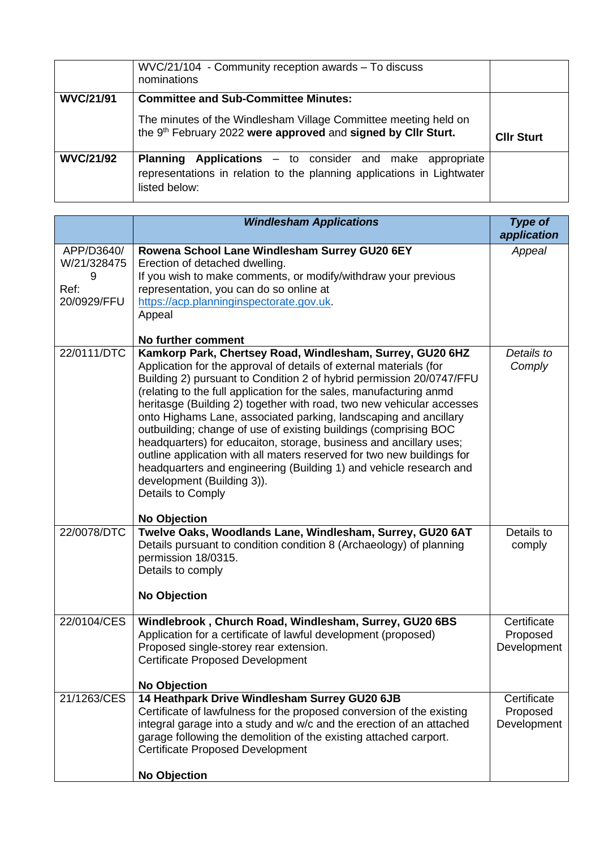|                  | WVC/21/104 - Community reception awards - To discuss<br>nominations                                                                                                             |                   |
|------------------|---------------------------------------------------------------------------------------------------------------------------------------------------------------------------------|-------------------|
| <b>WVC/21/91</b> | <b>Committee and Sub-Committee Minutes:</b><br>The minutes of the Windlesham Village Committee meeting held on<br>the 9th February 2022 were approved and signed by CIIr Sturt. | <b>CIIr Sturt</b> |
| <b>WVC/21/92</b> | <b>Applications</b> – to consider and make appropriate<br><b>Planning</b><br>representations in relation to the planning applications in Lightwater<br>listed below:            |                   |

|                                                       | <b>Windlesham Applications</b>                                                                                                                                                                                                                                                                                                                                                                                                                                                                                                                                                                                                                                                                                                                                                                  | Type of<br>application                 |
|-------------------------------------------------------|-------------------------------------------------------------------------------------------------------------------------------------------------------------------------------------------------------------------------------------------------------------------------------------------------------------------------------------------------------------------------------------------------------------------------------------------------------------------------------------------------------------------------------------------------------------------------------------------------------------------------------------------------------------------------------------------------------------------------------------------------------------------------------------------------|----------------------------------------|
| APP/D3640/<br>W/21/328475<br>9<br>Ref:<br>20/0929/FFU | Rowena School Lane Windlesham Surrey GU20 6EY<br>Erection of detached dwelling.<br>If you wish to make comments, or modify/withdraw your previous<br>representation, you can do so online at<br>https://acp.planninginspectorate.gov.uk.<br>Appeal<br>No further comment                                                                                                                                                                                                                                                                                                                                                                                                                                                                                                                        | Appeal                                 |
| 22/0111/DTC                                           | Kamkorp Park, Chertsey Road, Windlesham, Surrey, GU20 6HZ<br>Application for the approval of details of external materials (for<br>Building 2) pursuant to Condition 2 of hybrid permission 20/0747/FFU<br>(relating to the full application for the sales, manufacturing anmd<br>heritasge (Building 2) together with road, two new vehicular accesses<br>onto Highams Lane, associated parking, landscaping and ancillary<br>outbuilding; change of use of existing buildings (comprising BOC<br>headquarters) for educaiton, storage, business and ancillary uses;<br>outline application with all maters reserved for two new buildings for<br>headquarters and engineering (Building 1) and vehicle research and<br>development (Building 3)).<br>Details to Comply<br><b>No Objection</b> | Details to<br>Comply                   |
| 22/0078/DTC                                           | Twelve Oaks, Woodlands Lane, Windlesham, Surrey, GU20 6AT<br>Details pursuant to condition condition 8 (Archaeology) of planning<br>permission 18/0315.<br>Details to comply<br><b>No Objection</b>                                                                                                                                                                                                                                                                                                                                                                                                                                                                                                                                                                                             | Details to<br>comply                   |
| 22/0104/CES                                           | Windlebrook, Church Road, Windlesham, Surrey, GU20 6BS<br>Application for a certificate of lawful development (proposed)<br>Proposed single-storey rear extension.<br><b>Certificate Proposed Development</b><br><b>No Objection</b>                                                                                                                                                                                                                                                                                                                                                                                                                                                                                                                                                            | Certificate<br>Proposed<br>Development |
| 21/1263/CES                                           | 14 Heathpark Drive Windlesham Surrey GU20 6JB<br>Certificate of lawfulness for the proposed conversion of the existing<br>integral garage into a study and w/c and the erection of an attached<br>garage following the demolition of the existing attached carport.<br><b>Certificate Proposed Development</b><br><b>No Objection</b>                                                                                                                                                                                                                                                                                                                                                                                                                                                           | Certificate<br>Proposed<br>Development |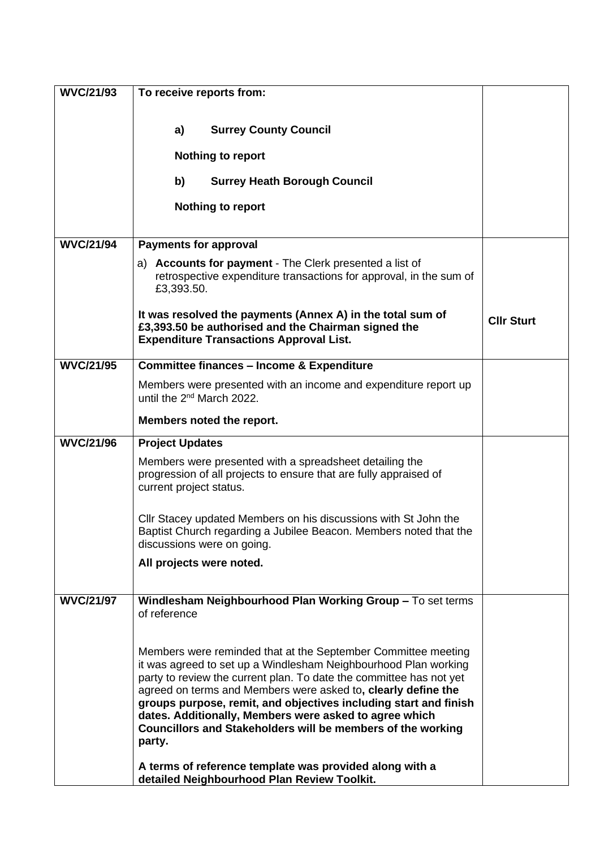| <b>WVC/21/93</b> | To receive reports from:                                                                                                                                                                                                                                                                                                                                                                                                                                                        |                   |
|------------------|---------------------------------------------------------------------------------------------------------------------------------------------------------------------------------------------------------------------------------------------------------------------------------------------------------------------------------------------------------------------------------------------------------------------------------------------------------------------------------|-------------------|
|                  |                                                                                                                                                                                                                                                                                                                                                                                                                                                                                 |                   |
|                  | <b>Surrey County Council</b><br>a)                                                                                                                                                                                                                                                                                                                                                                                                                                              |                   |
|                  | <b>Nothing to report</b>                                                                                                                                                                                                                                                                                                                                                                                                                                                        |                   |
|                  | b)<br><b>Surrey Heath Borough Council</b>                                                                                                                                                                                                                                                                                                                                                                                                                                       |                   |
|                  | <b>Nothing to report</b>                                                                                                                                                                                                                                                                                                                                                                                                                                                        |                   |
|                  |                                                                                                                                                                                                                                                                                                                                                                                                                                                                                 |                   |
| <b>WVC/21/94</b> | <b>Payments for approval</b>                                                                                                                                                                                                                                                                                                                                                                                                                                                    |                   |
|                  | a) Accounts for payment - The Clerk presented a list of<br>retrospective expenditure transactions for approval, in the sum of<br>£3,393.50.                                                                                                                                                                                                                                                                                                                                     |                   |
|                  | It was resolved the payments (Annex A) in the total sum of<br>£3,393.50 be authorised and the Chairman signed the<br><b>Expenditure Transactions Approval List.</b>                                                                                                                                                                                                                                                                                                             | <b>CIIr Sturt</b> |
| <b>WVC/21/95</b> | <b>Committee finances - Income &amp; Expenditure</b>                                                                                                                                                                                                                                                                                                                                                                                                                            |                   |
|                  | Members were presented with an income and expenditure report up<br>until the 2 <sup>nd</sup> March 2022.                                                                                                                                                                                                                                                                                                                                                                        |                   |
|                  | Members noted the report.                                                                                                                                                                                                                                                                                                                                                                                                                                                       |                   |
| <b>WVC/21/96</b> | <b>Project Updates</b>                                                                                                                                                                                                                                                                                                                                                                                                                                                          |                   |
|                  | Members were presented with a spreadsheet detailing the<br>progression of all projects to ensure that are fully appraised of<br>current project status.                                                                                                                                                                                                                                                                                                                         |                   |
|                  | Cllr Stacey updated Members on his discussions with St John the<br>Baptist Church regarding a Jubilee Beacon. Members noted that the<br>discussions were on going.                                                                                                                                                                                                                                                                                                              |                   |
|                  | All projects were noted.                                                                                                                                                                                                                                                                                                                                                                                                                                                        |                   |
| <b>WVC/21/97</b> | Windlesham Neighbourhood Plan Working Group - To set terms<br>of reference                                                                                                                                                                                                                                                                                                                                                                                                      |                   |
|                  | Members were reminded that at the September Committee meeting<br>it was agreed to set up a Windlesham Neighbourhood Plan working<br>party to review the current plan. To date the committee has not yet<br>agreed on terms and Members were asked to, clearly define the<br>groups purpose, remit, and objectives including start and finish<br>dates. Additionally, Members were asked to agree which<br>Councillors and Stakeholders will be members of the working<br>party. |                   |
|                  | A terms of reference template was provided along with a<br>detailed Neighbourhood Plan Review Toolkit.                                                                                                                                                                                                                                                                                                                                                                          |                   |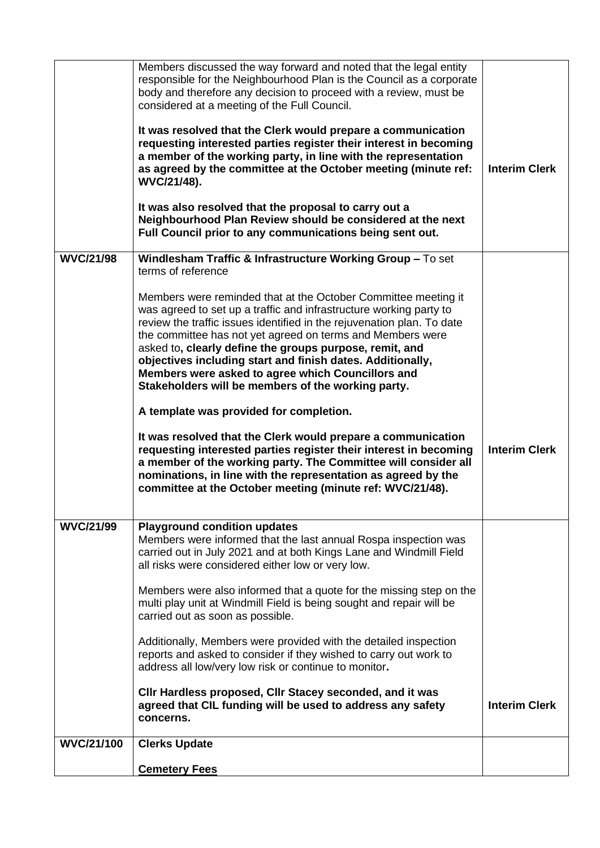| <b>WVC/21/100</b> | <b>Clerks Update</b><br><b>Cemetery Fees</b>                                                                                                                                                                                                                                                                                                                                                                                                                                                                                                                                          |                      |
|-------------------|---------------------------------------------------------------------------------------------------------------------------------------------------------------------------------------------------------------------------------------------------------------------------------------------------------------------------------------------------------------------------------------------------------------------------------------------------------------------------------------------------------------------------------------------------------------------------------------|----------------------|
|                   | Members were also informed that a quote for the missing step on the<br>multi play unit at Windmill Field is being sought and repair will be<br>carried out as soon as possible.<br>Additionally, Members were provided with the detailed inspection<br>reports and asked to consider if they wished to carry out work to<br>address all low/very low risk or continue to monitor.<br>CIIr Hardless proposed, CIIr Stacey seconded, and it was<br>agreed that CIL funding will be used to address any safety<br>concerns.                                                              | <b>Interim Clerk</b> |
| <b>WVC/21/99</b>  | <b>Playground condition updates</b><br>Members were informed that the last annual Rospa inspection was<br>carried out in July 2021 and at both Kings Lane and Windmill Field<br>all risks were considered either low or very low.                                                                                                                                                                                                                                                                                                                                                     |                      |
|                   | A template was provided for completion.<br>It was resolved that the Clerk would prepare a communication<br>requesting interested parties register their interest in becoming<br>a member of the working party. The Committee will consider all<br>nominations, in line with the representation as agreed by the<br>committee at the October meeting (minute ref: WVC/21/48).                                                                                                                                                                                                          | <b>Interim Clerk</b> |
|                   | terms of reference<br>Members were reminded that at the October Committee meeting it<br>was agreed to set up a traffic and infrastructure working party to<br>review the traffic issues identified in the rejuvenation plan. To date<br>the committee has not yet agreed on terms and Members were<br>asked to, clearly define the groups purpose, remit, and<br>objectives including start and finish dates. Additionally,<br>Members were asked to agree which Councillors and<br>Stakeholders will be members of the working party.                                                |                      |
| <b>WVC/21/98</b>  | considered at a meeting of the Full Council.<br>It was resolved that the Clerk would prepare a communication<br>requesting interested parties register their interest in becoming<br>a member of the working party, in line with the representation<br>as agreed by the committee at the October meeting (minute ref:<br>WVC/21/48).<br>It was also resolved that the proposal to carry out a<br>Neighbourhood Plan Review should be considered at the next<br>Full Council prior to any communications being sent out.<br>Windlesham Traffic & Infrastructure Working Group - To set | <b>Interim Clerk</b> |
|                   | Members discussed the way forward and noted that the legal entity<br>responsible for the Neighbourhood Plan is the Council as a corporate<br>body and therefore any decision to proceed with a review, must be                                                                                                                                                                                                                                                                                                                                                                        |                      |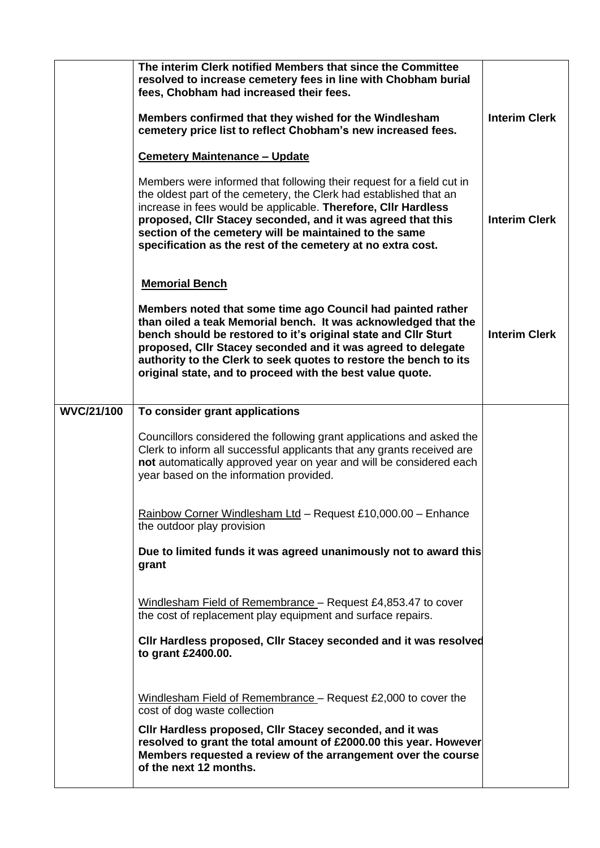|                   | The interim Clerk notified Members that since the Committee<br>resolved to increase cemetery fees in line with Chobham burial<br>fees, Chobham had increased their fees.<br>Members confirmed that they wished for the Windlesham<br>cemetery price list to reflect Chobham's new increased fees.<br><b>Cemetery Maintenance - Update</b>                                                             | <b>Interim Clerk</b> |
|-------------------|-------------------------------------------------------------------------------------------------------------------------------------------------------------------------------------------------------------------------------------------------------------------------------------------------------------------------------------------------------------------------------------------------------|----------------------|
|                   | Members were informed that following their request for a field cut in<br>the oldest part of the cemetery, the Clerk had established that an<br>increase in fees would be applicable. Therefore, Cllr Hardless<br>proposed, Cllr Stacey seconded, and it was agreed that this<br>section of the cemetery will be maintained to the same<br>specification as the rest of the cemetery at no extra cost. | <b>Interim Clerk</b> |
|                   | <b>Memorial Bench</b>                                                                                                                                                                                                                                                                                                                                                                                 |                      |
|                   | Members noted that some time ago Council had painted rather<br>than oiled a teak Memorial bench. It was acknowledged that the<br>bench should be restored to it's original state and CIIr Sturt<br>proposed, Cllr Stacey seconded and it was agreed to delegate<br>authority to the Clerk to seek quotes to restore the bench to its<br>original state, and to proceed with the best value quote.     | <b>Interim Clerk</b> |
| <b>WVC/21/100</b> | To consider grant applications                                                                                                                                                                                                                                                                                                                                                                        |                      |
|                   | Councillors considered the following grant applications and asked the<br>Clerk to inform all successful applicants that any grants received are<br>not automatically approved year on year and will be considered each<br>year based on the information provided.                                                                                                                                     |                      |
|                   | Rainbow Corner Windlesham Ltd - Request £10,000.00 - Enhance<br>the outdoor play provision                                                                                                                                                                                                                                                                                                            |                      |
|                   | Due to limited funds it was agreed unanimously not to award this<br>grant                                                                                                                                                                                                                                                                                                                             |                      |
|                   | Windlesham Field of Remembrance - Request £4,853.47 to cover<br>the cost of replacement play equipment and surface repairs.                                                                                                                                                                                                                                                                           |                      |
|                   | CIIr Hardless proposed, CIIr Stacey seconded and it was resolved<br>to grant £2400.00.                                                                                                                                                                                                                                                                                                                |                      |
|                   | Windlesham Field of Remembrance - Request £2,000 to cover the<br>cost of dog waste collection<br>CIIr Hardless proposed, CIIr Stacey seconded, and it was<br>resolved to grant the total amount of £2000.00 this year. However<br>Members requested a review of the arrangement over the course<br>of the next 12 months.                                                                             |                      |
|                   |                                                                                                                                                                                                                                                                                                                                                                                                       |                      |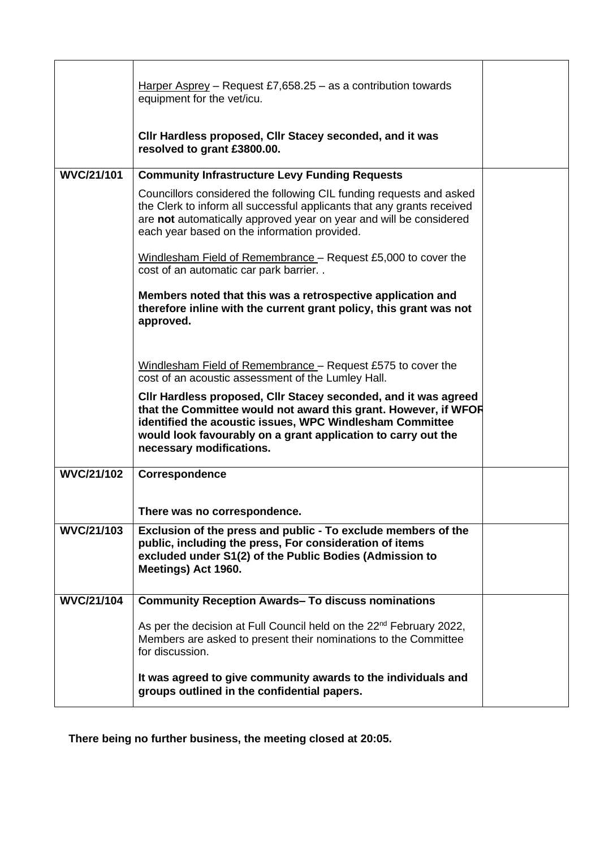|                   | Harper Asprey – Request £7,658.25 – as a contribution towards<br>equipment for the vet/icu.                                                                                                                                                                                                 |  |
|-------------------|---------------------------------------------------------------------------------------------------------------------------------------------------------------------------------------------------------------------------------------------------------------------------------------------|--|
|                   | CIIr Hardless proposed, CIIr Stacey seconded, and it was<br>resolved to grant £3800.00.                                                                                                                                                                                                     |  |
| <b>WVC/21/101</b> | <b>Community Infrastructure Levy Funding Requests</b>                                                                                                                                                                                                                                       |  |
|                   | Councillors considered the following CIL funding requests and asked<br>the Clerk to inform all successful applicants that any grants received<br>are not automatically approved year on year and will be considered<br>each year based on the information provided.                         |  |
|                   | Windlesham Field of Remembrance - Request £5,000 to cover the<br>cost of an automatic car park barrier                                                                                                                                                                                      |  |
|                   | Members noted that this was a retrospective application and<br>therefore inline with the current grant policy, this grant was not<br>approved.                                                                                                                                              |  |
|                   | Windlesham Field of Remembrance - Request £575 to cover the<br>cost of an acoustic assessment of the Lumley Hall.                                                                                                                                                                           |  |
|                   | CIIr Hardless proposed, CIIr Stacey seconded, and it was agreed<br>that the Committee would not award this grant. However, if WFOR<br>identified the acoustic issues, WPC Windlesham Committee<br>would look favourably on a grant application to carry out the<br>necessary modifications. |  |
| <b>WVC/21/102</b> | Correspondence                                                                                                                                                                                                                                                                              |  |
|                   | There was no correspondence.                                                                                                                                                                                                                                                                |  |
| <b>WVC/21/103</b> | Exclusion of the press and public - To exclude members of the<br>public, including the press, For consideration of items<br>excluded under S1(2) of the Public Bodies (Admission to<br>Meetings) Act 1960.                                                                                  |  |
| <b>WVC/21/104</b> | <b>Community Reception Awards- To discuss nominations</b>                                                                                                                                                                                                                                   |  |
|                   | As per the decision at Full Council held on the 22 <sup>nd</sup> February 2022,<br>Members are asked to present their nominations to the Committee<br>for discussion.                                                                                                                       |  |
|                   | It was agreed to give community awards to the individuals and<br>groups outlined in the confidential papers.                                                                                                                                                                                |  |

**There being no further business, the meeting closed at 20:05.**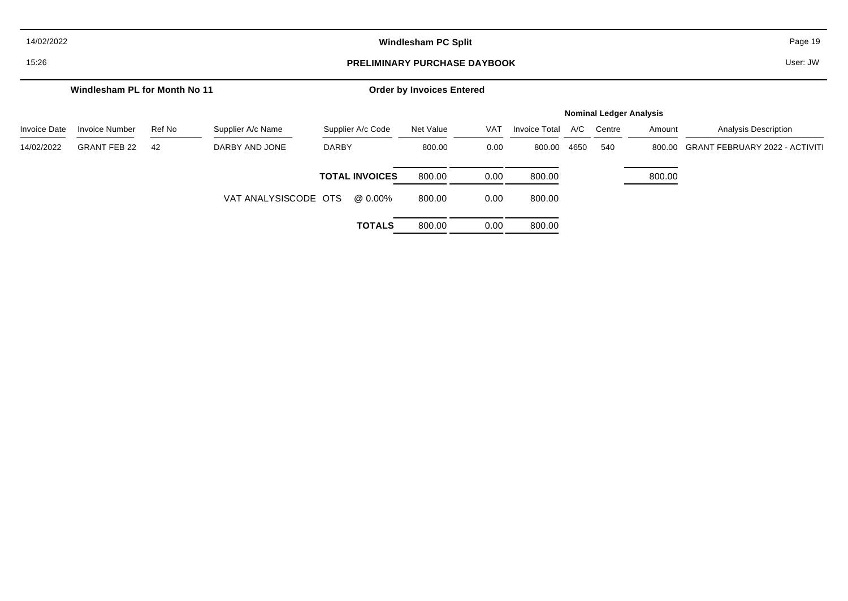| 14/02/2022          | <b>Windlesham PC Split</b>          |        |                      |                       |                                  |            |                      |      |                                |        | Page 19                               |
|---------------------|-------------------------------------|--------|----------------------|-----------------------|----------------------------------|------------|----------------------|------|--------------------------------|--------|---------------------------------------|
| 15:26               | <b>PRELIMINARY PURCHASE DAYBOOK</b> |        |                      |                       |                                  |            |                      |      |                                |        | User: JW                              |
|                     | Windlesham PL for Month No 11       |        |                      |                       | <b>Order by Invoices Entered</b> |            |                      |      |                                |        |                                       |
|                     |                                     |        |                      |                       |                                  |            |                      |      | <b>Nominal Ledger Analysis</b> |        |                                       |
| <b>Invoice Date</b> | <b>Invoice Number</b>               | Ref No | Supplier A/c Name    | Supplier A/c Code     | Net Value                        | <b>VAT</b> | <b>Invoice Total</b> | A/C  | Centre                         | Amount | <b>Analysis Description</b>           |
| 14/02/2022          | <b>GRANT FEB 22</b>                 | 42     | DARBY AND JONE       | <b>DARBY</b>          | 800.00                           | 0.00       | 800.00               | 4650 | 540                            | 800.00 | <b>GRANT FEBRUARY 2022 - ACTIVITI</b> |
|                     |                                     |        |                      | <b>TOTAL INVOICES</b> | 800.00                           | 0.00       | 800.00               |      |                                | 800.00 |                                       |
|                     |                                     |        | VAT ANALYSISCODE OTS | @ 0.00%               | 800.00                           | 0.00       | 800.00               |      |                                |        |                                       |
|                     |                                     |        |                      | <b>TOTALS</b>         | 800.00                           | 0.00       | 800.00               |      |                                |        |                                       |